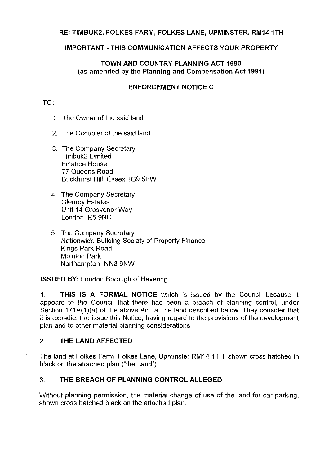#### **RE: TIMBUK2, FOLKES FARM, FOLKES LANE, UPMINSTER. RM141TH**

#### **IMPORTANT-THIS COMMUNICATION AFFECTS YOUR PROPERTY**

# **TOWN AND COUNTRY PLANNING ACT 1990 (as amended by the Planning and Compensation Act 1991)**

### **ENFORCEMENT NOTICE C**

#### **TO:**

- 1. The Owner of the said land
- 2. The Occupier of the said land
- 3. The Company Secretary Timbuk2 Limited Finance House 77 Queens Road Buckhurst Hill, Essex IG9 5BW
- 4. The Company Secretary Glenroy Estates Unit 14 Grosvenor Way London E5 9ND
- 5. The Company Secretary Nationwide Building Society of Property Finance Kings Park Road Moluton Park Northampton NN3 6NW

**ISSUED BY:** London Borough of Havering

1. **THIS IS A FORMAL NOTICE** which is issued by the Council because it appears to the Council that there has been a breach of planning control, under Section 171A(1)(a) of the above Act, at the land described below. They consider that it is expedient to issue this Notice, having regard to the provisions of the development plan and to other material planning considerations.

# 2. **THE LAND AFFECTED**

The land at Folkes Farm, Folkes Lane, Upminster RM14 1TH, shown cross hatched in black on the attached plan ("the Land").

### 3. **THE BREACH OF PLANNING CONTROL ALLEGED**

Without planning permission, the material change of use of the land for car parking, shown cross hatched black on the attached plan.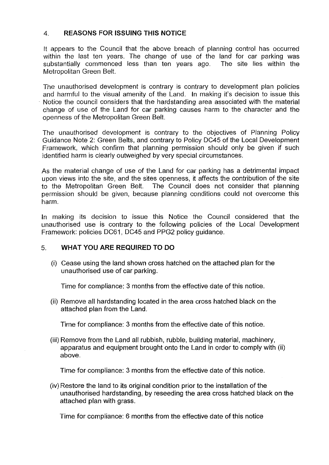# 4. **REASONS FOR ISSUING THIS NOTICE**

It appears to the Council that the above breach of planning control has occurred within the last ten years. The change of use of the land for car parking was substantially commenced less than ten years ago. The site lies within the Metropolitan Green Belt

The unauthorised development is contrary is contrary to development plan policies and harmful to the visual amenity of the Land. In making it's decision to issue this Notice the council considers that the hardstanding area associated with the material change of use of the Land for car parking causes harm to the character and the openness of the Metropolitan Green Belt

The unauthorised development is contrary to the objectives of Planning Policy Guidance Note 2: Green Belts, and contrary to Policy DC45 of the Local Development Framework, which confirm that planning permission should only be given if such identified harm is clearly outweighed by very special circumstances.

As the material change of use of the Land for car parking has a detrimental impact upon views into the site, and the sites openness, it affects the contribution of the site to the Metropolitan Green Belt. The Council does not consider that planning permission should be given, because planning conditions could not overcome this harm.

In making its decision to issue this Notice the Council considered that the unauthorised use is contrary to the following policies of the Local Development Framework: policies DC61, DC45 and PPG2 policy guidance.

# 5. **WHAT YOU ARE REQUIRED TO DO**

(i) Cease using the land shown cross hatched on the attached plan for the unauthorised use of car parking.

Time for compliance: 3 months from the effective date of this notice.

(ii) Remove all hardstanding located in the area cross hatched black on the attached plan from the Land.

Time for compliance: 3 months from the effective date of this notice.

(iii) Remove from the Land all rubbish, rubble, building material, machinery, apparatus and equipment brought onto the Land in order to comply with (ii) above.

Time for compliance: 3 months from the effective date of this notice.

(iv) Restore the land to its original condition prior to the installation of the unauthorised hardstanding, by reseeding the area cross hatched black on the attached plan with grass.

Time for compliance: 6 months from the effective date of this notice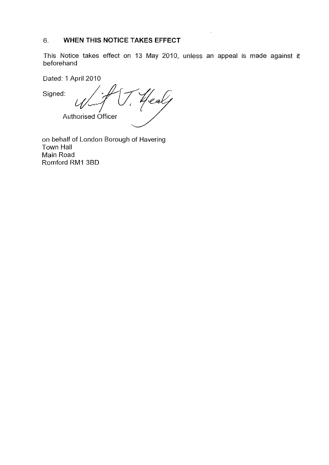# 6. **WHEN THIS NOTICE TAKES EFFECT**

This Notice takes effect on 13 May 2010, unless an appeal is made against it beforehand

 $\mathcal{L}$ 

Dated: 1 April 2010

Signed: lealf Authorised Officer

on behalf of London Borough of Havering Town Hall Main Road Romford RM1 38D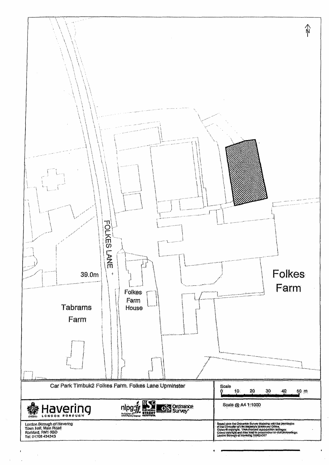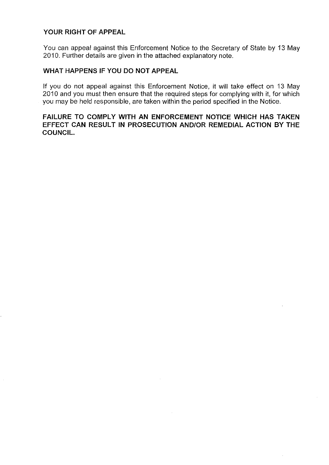### **YOUR RIGHT OF APPEAL**

You can appeal against this Enforcement Notice to the Secretary of State by 13 May 2010. Further details are given in the attached explanatory note.

### **WHAT HAPPENS IF YOU DO NOT APPEAL**

If you do not appeal against this Enforcement Notice, it will take effect on 13 May 2010 and you must then ensure that the required steps for complying with it, for which you may be held responsible, are taken within the period specified in the Notice.

# **FAILURE TO COMPLY WITH AN ENFORCEMENT NOTICE WHICH HAS TAKEN EFFECT CAN RESULT IN PROSECUTION AND/OR REMEDIAL ACTION BY THE COUNCIL.**